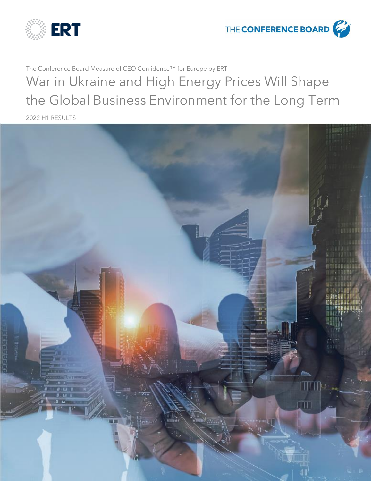

THE **CONFERENCE BOARD** 

The Conference Board Measure of CEO Confidence™ for Europe by ERT

War in Ukraine and High Energy Prices Will Shape the Global Business Environment for the Long Term

2022 H1 RESULTS

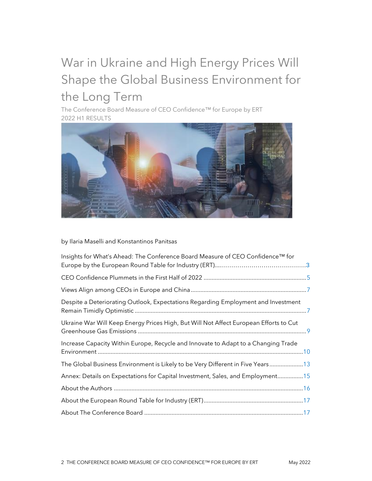# War in Ukraine and High Energy Prices Will Shape the Global Business Environment for the Long Term

The Conference Board Measure of CEO Confidence™ for Europe by ERT 2022 H1 RESULTS



by Ilaria Maselli and Konstantinos Panitsas

<span id="page-1-0"></span>

| Insights for What's Ahead: The Conference Board Measure of CEO Confidence™ for        |  |
|---------------------------------------------------------------------------------------|--|
|                                                                                       |  |
|                                                                                       |  |
| Despite a Deteriorating Outlook, Expectations Regarding Employment and Investment     |  |
| Ukraine War Will Keep Energy Prices High, But Will Not Affect European Efforts to Cut |  |
| Increase Capacity Within Europe, Recycle and Innovate to Adapt to a Changing Trade    |  |
| The Global Business Environment is Likely to be Very Different in Five Years13        |  |
| Annex: Details on Expectations for Capital Investment, Sales, and Employment15        |  |
|                                                                                       |  |
|                                                                                       |  |
|                                                                                       |  |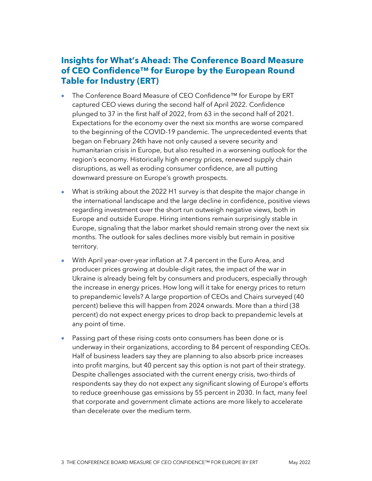## **Insights for What's Ahead: The Conference Board Measure of CEO Confidence™ for Europe by the European Round Table for Industry (ERT)**

- The Conference Board Measure of CEO Confidence™ for Europe by ERT captured CEO views during the second half of April 2022. Confidence plunged to 37 in the first half of 2022, from 63 in the second half of 2021. Expectations for the economy over the next six months are worse compared to the beginning of the COVID-19 pandemic. The unprecedented events that began on February 24th have not only caused a severe security and humanitarian crisis in Europe, but also resulted in a worsening outlook for the region's economy. Historically high energy prices, renewed supply chain disruptions, as well as eroding consumer confidence, are all putting downward pressure on Europe's growth prospects.
- What is striking about the 2022 H1 survey is that despite the major change in the international landscape and the large decline in confidence, positive views regarding investment over the short run outweigh negative views, both in Europe and outside Europe. Hiring intentions remain surprisingly stable in Europe, signaling that the labor market should remain strong over the next six months. The outlook for sales declines more visibly but remain in positive territory.
- With April year-over-year inflation at 7.4 percent in the Euro Area, and producer prices growing at double-digit rates, the impact of the war in Ukraine is already being felt by consumers and producers, especially through the increase in energy prices. How long will it take for energy prices to return to prepandemic levels? A large proportion of CEOs and Chairs surveyed (40 percent) believe this will happen from 2024 onwards. More than a third (38 percent) do not expect energy prices to drop back to prepandemic levels at any point of time.
- Passing part of these rising costs onto consumers has been done or is underway in their organizations, according to 84 percent of responding CEOs. Half of business leaders say they are planning to also absorb price increases into profit margins, but 40 percent say this option is not part of their strategy. Despite challenges associated with the current energy crisis, two-thirds of respondents say they do not expect any significant slowing of Europe's efforts to reduce greenhouse gas emissions by 55 percent in 2030. In fact, many feel that corporate and government climate actions are more likely to accelerate than decelerate over the medium term.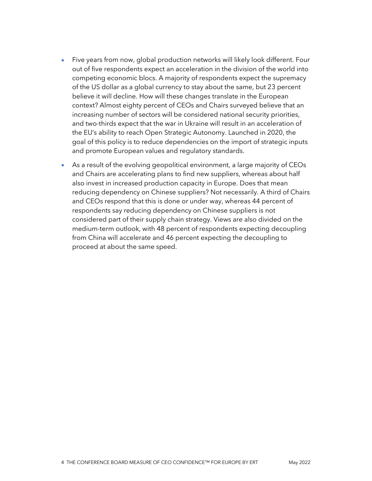- Five years from now, global production networks will likely look different. Four out of five respondents expect an acceleration in the division of the world into competing economic blocs. A majority of respondents expect the supremacy of the US dollar as a global currency to stay about the same, but 23 percent believe it will decline. How will these changes translate in the European context? Almost eighty percent of CEOs and Chairs surveyed believe that an increasing number of sectors will be considered national security priorities, and two-thirds expect that the war in Ukraine will result in an acceleration of the EU's ability to reach Open Strategic Autonomy. Launched in 2020, the goal of this policy is to reduce dependencies on the import of strategic inputs and promote European values and regulatory standards.
- As a result of the evolving geopolitical environment, a large majority of CEOs and Chairs are accelerating plans to find new suppliers, whereas about half also invest in increased production capacity in Europe. Does that mean reducing dependency on Chinese suppliers? Not necessarily. A third of Chairs and CEOs respond that this is done or under way, whereas 44 percent of respondents say reducing dependency on Chinese suppliers is not considered part of their supply chain strategy. Views are also divided on the medium-term outlook, with 48 percent of respondents expecting decoupling from China will accelerate and 46 percent expecting the decoupling to proceed at about the same speed.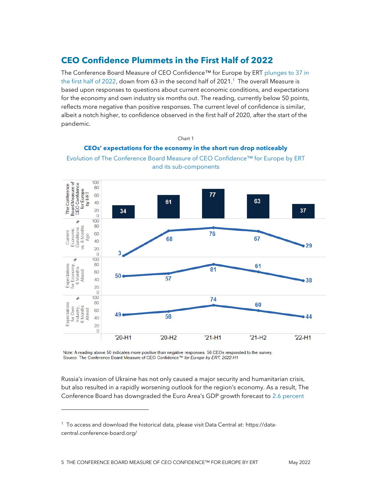#### <span id="page-4-0"></span>**CEO Confidence Plummets in the First Half of 2022**

The Conference Board Measure of CEO Confidence™ for Europe by ERT [plunges](https://data-central.conference-board.org/) to 37 in [the first half of 2022,](https://data-central.conference-board.org/) down from 63 in the second half of 2021. <sup>1</sup> The overall Measure is based upon responses to questions about current economic conditions, and expectations for the economy and own industry six months out. The reading, currently below 50 points, reflects more negative than positive responses. The current level of confidence is similar, albeit a notch higher, to confidence observed in the first half of 2020, after the start of the pandemic.

#### **CEOs' expectations for the economy in the short run drop noticeably** Evolution of The Conference Board Measure of CEO Confidence™ for Europe by ERT and its sub-components

Chart 1



Note: A reading above 50 indicates more positive than negative responses. 56 CEOs responded to the survey. Source: The Conference Board Measure of CEO Confidence™ for Europe by ERT, 2022 H1

Russia's invasion of Ukraine has not only caused a major security and humanitarian crisis, but also resulted in a rapidly worsening outlook for the region's economy. As a result, The Conference Board has downgraded the Euro Area's GDP growth forecast to [2.6 percent](https://www.conference-board.org/topics/global-economic-outlook) 

<sup>1</sup> To access and download the historical data, please visit Data Central at: https://datacentral.conference-board.org/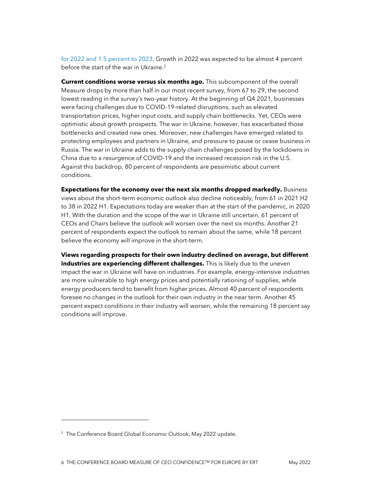[for 2022 and 1.5 percent to 2023.](https://www.conference-board.org/topics/global-economic-outlook) Growth in 2022 was expected to be almost 4 percent before the start of the war in Ukraine.<sup>2</sup>

**Current conditions worse versus six months ago.** This subcomponent of the overall Measure drops by more than half in our most recent survey, from 67 to 29, the second lowest reading in the survey's two-year history. At the beginning of Q4 2021, businesses were facing challenges due to COVID-19-related disruptions, such as elevated transportation prices, higher input costs, and supply chain bottlenecks. Yet, CEOs were optimistic about growth prospects. The war in Ukraine, however, has exacerbated those bottlenecks and created new ones. Moreover, new challenges have emerged related to protecting employees and partners in Ukraine, and pressure to pause or cease business in Russia. The war in Ukraine adds to the supply chain challenges posed by the lockdowns in China due to a resurgence of COVID-19 and the increased recession risk in the U.S. Against this backdrop, 80 percent of respondents are pessimistic about current conditions.

**Expectations for the economy over the next six months dropped markedly.** Business views about the short-term economic outlook also decline noticeably, from 61 in 2021 H2 to 38 in 2022 H1. Expectations today are weaker than at the start of the pandemic, in 2020 H1. With the duration and the scope of the war in Ukraine still uncertain, 61 percent of CEOs and Chairs believe the outlook will worsen over the next six months. Another 21 percent of respondents expect the outlook to remain about the same, while 18 percent believe the economy will improve in the short-term.

**Views regarding prospects for their own industry declined on average, but different industries are experiencing different challenges.** This is likely due to the uneven impact the war in Ukraine will have on industries. For example, energy-intensive industries are more vulnerable to high energy prices and potentially rationing of supplies, while energy producers tend to benefit from higher prices. Almost 40 percent of respondents foresee no changes in the outlook for their own industry in the near term. Another 45 percent expect conditions in their industry will worsen, while the remaining 18 percent say conditions will improve.

<sup>&</sup>lt;sup>2</sup> The Conference Board Global Economic Outlook, May 2022 update.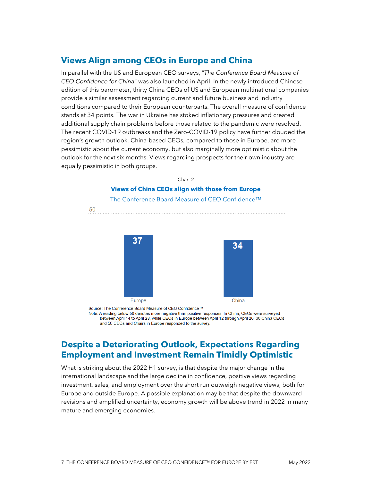#### <span id="page-6-0"></span>**Views Align among CEOs in Europe and China**

In parallel with the US and European CEO surveys, "*The Conference Board Measure of CEO Confidence for China*" was also launched in April. In the newly introduced Chinese edition of this barometer, thirty China CEOs of US and European multinational companies provide a similar assessment regarding current and future business and industry conditions compared to their European counterparts. The overall measure of confidence stands at 34 points. The war in Ukraine has stoked inflationary pressures and created additional supply chain problems before those related to the pandemic were resolved. The recent COVID-19 outbreaks and the Zero-COVID-19 policy have further clouded the region's growth outlook. China-based CEOs, compared to those in Europe, are more pessimistic about the current economy, but also marginally more optimistic about the outlook for the next six months. Views regarding prospects for their own industry are equally pessimistic in both groups.







Source: The Conference Board Measure of CEO Confidence™

Note: A reading below 50 denotes more negative than positive responses. In China, CEOs were surveyed between April 14 to April 28, while CEOs in Europe between April 12 through April 26. 30 China CEOs and 56 CEOs and Chairs in Europe responded to the survey.

### <span id="page-6-1"></span>**Despite a Deteriorating Outlook, Expectations Regarding Employment and Investment Remain Timidly Optimistic**

What is striking about the 2022 H1 survey, is that despite the major change in the international landscape and the large decline in confidence, positive views regarding investment, sales, and employment over the short run outweigh negative views, both for Europe and outside Europe. A possible explanation may be that despite the downward revisions and amplified uncertainty, economy growth will be above trend in 2022 in many mature and emerging economies.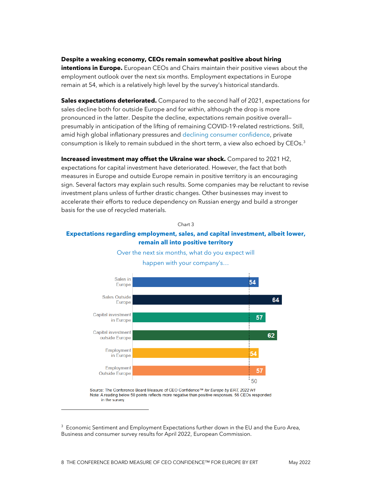#### **Despite a weaking economy, CEOs remain somewhat positive about hiring**

**intentions in Europe.** European CEOs and Chairs maintain their positive views about the employment outlook over the next six months. Employment expectations in Europe remain at 54, which is a relatively high level by the survey's historical standards.

**Sales expectations deteriorated.** Compared to the second half of 2021, expectations for sales decline both for outside Europe and for within, although the drop is more pronounced in the latter. Despite the decline, expectations remain positive overall presumably in anticipation of the lifting of remaining COVID-19-related restrictions. Still, amid high global inflationary pressures an[d declining consumer confidence,](https://ec.europa.eu/info/sites/default/files/bcs_2022_04_en.pdf) private consumption is likely to remain subdued in the short term, a view also echoed by CEOs.<sup>3</sup>

**Increased investment may offset the Ukraine war shock.** Compared to 2021 H2, expectations for capital investment have deteriorated. However, the fact that both measures in Europe and outside Europe remain in positive territory is an encouraging sign. Several factors may explain such results. Some companies may be reluctant to revise investment plans unless of further drastic changes. Other businesses may invest to accelerate their efforts to reduce dependency on Russian energy and build a stronger basis for the use of recycled materials.

#### Chart 3

#### **Expectations regarding employment, sales, and capital investment, albeit lower, remain all into positive territory**



Over the next six months, what do you expect will happen with your company's…

Source: The Conference Board Measure of CEO Confidence™ for Europe by ERT, 2022 H1 Note: A reading below 50 points reflects more negative than positive responses. 56 CEOs responded in the survey.

<sup>3</sup> Economic Sentiment and Employment Expectations further down in the EU and the Euro Area, Business and consumer survey results for April 2022, European Commission.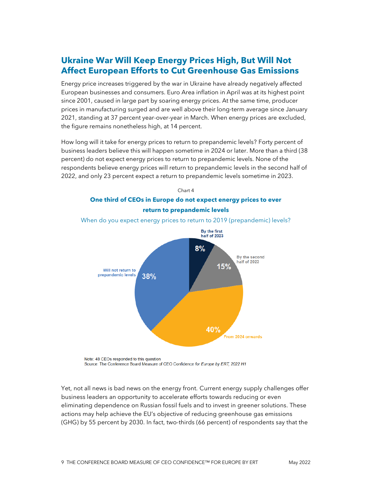# <span id="page-8-0"></span>**Ukraine War Will Keep Energy Prices High, But Will Not Affect European Efforts to Cut Greenhouse Gas Emissions**

Energy price increases triggered by the war in Ukraine have already negatively affected European businesses and consumers. Euro Area inflation in April was at its highest point since 2001, caused in large part by soaring energy prices. At the same time, producer prices in manufacturing surged and are well above their long-term average since January 2021, standing at 37 percent year-over-year in March. When energy prices are excluded, the figure remains nonetheless high, at 14 percent.

How long will it take for energy prices to return to prepandemic levels? Forty percent of business leaders believe this will happen sometime in 2024 or later. More than a third (38 percent) do not expect energy prices to return to prepandemic levels. None of the respondents believe energy prices will return to prepandemic levels in the second half of 2022, and only 23 percent expect a return to prepandemic levels sometime in 2023.



When do you expect energy prices to return to 2019 (prepandemic) levels?

Note: 48 CEOs responded to this question Source: The Conference Board Measure of CEO Confidence for Europe by ERT, 2022 H1

Yet, not all news is bad news on the energy front. Current energy supply challenges offer business leaders an opportunity to accelerate efforts towards reducing or even eliminating dependence on Russian fossil fuels and to invest in greener solutions. These actions may help achieve the EU's objective of reducing greenhouse gas emissions (GHG) by 55 percent by 2030. In fact, two-thirds (66 percent) of respondents say that the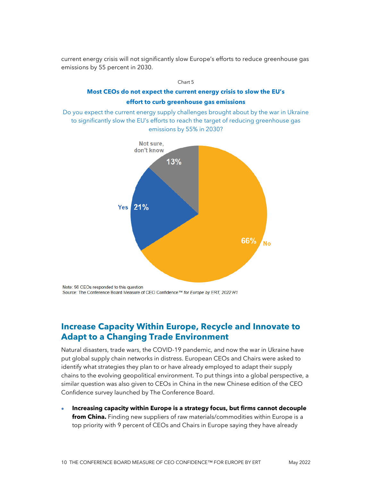current energy crisis will not significantly slow Europe's efforts to reduce greenhouse gas emissions by 55 percent in 2030.

<span id="page-9-0"></span>

Note: 56 CEOs responded to this question Source: The Conference Board Measure of CEO Confidence™ for Europe by ERT, 2022 H1

## **Increase Capacity Within Europe, Recycle and Innovate to Adapt to a Changing Trade Environment**

Natural disasters, trade wars, the COVID-19 pandemic, and now the war in Ukraine have put global supply chain networks in distress. European CEOs and Chairs were asked to identify what strategies they plan to or have already employed to adapt their supply chains to the evolving geopolitical environment. To put things into a global perspective, a similar question was also given to CEOs in China in the new Chinese edition of the CEO Confidence survey launched by The Conference Board.

• **Increasing capacity within Europe is a strategy focus, but firms cannot decouple from China.** Finding new suppliers of raw materials/commodities within Europe is a top priority with 9 percent of CEOs and Chairs in Europe saying they have already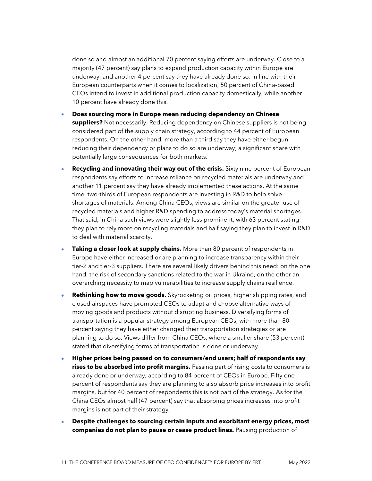done so and almost an additional 70 percent saying efforts are underway. Close to a majority (47 percent) say plans to expand production capacity within Europe are underway, and another 4 percent say they have already done so. In line with their European counterparts when it comes to localization, 50 percent of China-based CEOs intend to invest in additional production capacity domestically, while another 10 percent have already done this.

- **Does sourcing more in Europe mean reducing dependency on Chinese suppliers?** Not necessarily. Reducing dependency on Chinese suppliers is not being considered part of the supply chain strategy, according to 44 percent of European respondents. On the other hand, more than a third say they have either begun reducing their dependency or plans to do so are underway, a significant share with potentially large consequences for both markets.
- **Recycling and innovating their way out of the crisis.** Sixty nine percent of European respondents say efforts to increase reliance on recycled materials are underway and another 11 percent say they have already implemented these actions. At the same time, two-thirds of European respondents are investing in R&D to help solve shortages of materials. Among China CEOs, views are similar on the greater use of recycled materials and higher R&D spending to address today's material shortages. That said, in China such views were slightly less prominent, with 63 percent stating they plan to rely more on recycling materials and half saying they plan to invest in R&D to deal with material scarcity.
- **Taking a closer look at supply chains.** More than 80 percent of respondents in Europe have either increased or are planning to increase transparency within their tier-2 and tier-3 suppliers. There are several likely drivers behind this need: on the one hand, the risk of secondary sanctions related to the war in Ukraine, on the other an overarching necessity to map vulnerabilities to increase supply chains resilience.
- **Rethinking how to move goods.** Skyrocketing oil prices, higher shipping rates, and closed airspaces have prompted CEOs to adapt and choose alternative ways of moving goods and products without disrupting business. Diversifying forms of transportation is a popular strategy among European CEOs, with more than 80 percent saying they have either changed their transportation strategies or are planning to do so. Views differ from China CEOs, where a smaller share (53 percent) stated that diversifying forms of transportation is done or underway.
- **Higher prices being passed on to consumers/end users; half of respondents say rises to be absorbed into profit margins.** Passing part of rising costs to consumers is already done or underway, according to 84 percent of CEOs in Europe. Fifty one percent of respondents say they are planning to also absorb price increases into profit margins, but for 40 percent of respondents this is not part of the strategy. As for the China CEOs almost half (47 percent) say that absorbing prices increases into profit margins is not part of their strategy.
- **Despite challenges to sourcing certain inputs and exorbitant energy prices, most companies do not plan to pause or cease product lines.** Pausing production of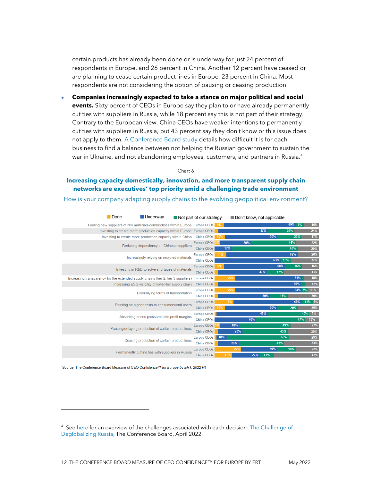certain products has already been done or is underway for just 24 percent of respondents in Europe, and 26 percent in China. Another 12 percent have ceased or are planning to cease certain product lines in Europe, 23 percent in China. Most respondents are not considering the option of pausing or ceasing production.

• **Companies increasingly expected to take a stance on major political and social events.** Sixty percent of CEOs in Europe say they plan to or have already permanently cut ties with suppliers in Russia, while 18 percent say this is not part of their strategy. Contrary to the European view, China CEOs have weaker intentions to permanently cut ties with suppliers in Russia, but 43 percent say they don't know or this issue does not apply to them[. A Conference Board study](https://www.conference-board.org/topics/geopolitics/withdrawing-or-staying-in-russia-companies-should-brace-for-challenges) details how difficult it is for each business to find a balance between not helping the Russian government to sustain the war in Ukraine, and not abandoning employees, customers, and partners in Russia.<sup>4</sup>

Chart 6

#### **Increasing capacity domestically, innovation, and more transparent supply chain networks are executives' top priority amid a challenging trade environment**

How is your company adapting supply chains to the evolving geopolitical environment?

|  | <b>Done</b>                                                                       | Underway                                                  |                                                  | $\blacksquare$ Not part of our strategy |     |     | Don't know, not applicable |     |         |        |        |
|--|-----------------------------------------------------------------------------------|-----------------------------------------------------------|--------------------------------------------------|-----------------------------------------|-----|-----|----------------------------|-----|---------|--------|--------|
|  | Finding new suppliers of raw materials/commodities within Europe Europe CEOs 9%   |                                                           |                                                  |                                         |     |     |                            |     |         | 69% 7% | 15%    |
|  | Investing to create more production capacity within Europe Europe CEOs            |                                                           |                                                  |                                         |     |     |                            | 47% |         | 25%    | 24%    |
|  |                                                                                   | Investing to create more production capacity within China |                                                  | <b>China CEOs</b>                       | 10% |     |                            |     | 50%     | 23%    | 17%    |
|  |                                                                                   | Reducing dependency on Chinese suppliers                  |                                                  | Europe CEOs <sup>5%</sup>               |     |     | 29%                        |     |         | 44%    | 22%    |
|  |                                                                                   |                                                           |                                                  | <b>China CEOs</b>                       |     | 17% |                            |     |         | 63%    | 20%    |
|  |                                                                                   | Increasingly relying on recycled materials                |                                                  | <b>Europe CEOs</b>                      | 11% |     |                            |     |         | 69%    | 20%    |
|  |                                                                                   |                                                           |                                                  | <b>China CEOs</b>                       |     |     |                            |     | 63% 10% |        | 27%    |
|  |                                                                                   |                                                           | Investing in R&D to solve shortages of materials | Europe CEOs                             |     |     |                            |     | 58%     | 16%    | 16%    |
|  |                                                                                   |                                                           | <b>China CEOs</b>                                |                                         |     |     | 47%                        | 17% |         | 33%    |        |
|  | Increasing transparency for the extended supply chains (tier-2, tier-3 suppliers) |                                                           |                                                  | <b>Europe CEOs</b>                      |     | 20% |                            |     |         | 64%    | 15%    |
|  |                                                                                   | Increasing ESG visibility of lower-tier supply chain      |                                                  | <b>China CEOs</b>                       |     |     |                            |     |         | 80%    | 13%    |
|  |                                                                                   |                                                           | Diversifying forms of transportation             | <b>Europe CEOs</b>                      |     | 20% |                            |     |         | 64% 5% | 11%    |
|  |                                                                                   |                                                           |                                                  | <b>China CEOs</b>                       |     |     |                            | 50% | 17%     |        | 30%    |
|  |                                                                                   | Passing on higher costs to consumers/end users            |                                                  | <b>Europe CEOs</b>                      |     | 18% |                            |     |         | 65%    | 11% 5% |
|  |                                                                                   |                                                           |                                                  | China CEOs                              | 10% |     |                            |     | 50%     | 20%    | 20%    |
|  | Absorbing prices pressures into profit margins                                    |                                                           |                                                  | <b>Europe CEOs</b>                      |     |     |                            | 49% |         |        | 40% 9% |
|  |                                                                                   |                                                           |                                                  | <b>China CEOs</b>                       |     |     | 40%                        |     |         | 47%    | 13%    |
|  | Pausing/delaying production of certain product lines                              |                                                           |                                                  | <b>Europe CEOs</b>                      |     | 18% |                            |     | 49%     |        | 27%    |
|  |                                                                                   |                                                           |                                                  | <b>China CEOs</b>                       |     | 23% |                            |     | 43%     |        | 30%    |
|  | Ceasing production of certain product lines                                       |                                                           | <b>Europe CEOs</b>                               | 10%                                     |     |     |                            | 60% |         | 29%    |        |
|  |                                                                                   |                                                           |                                                  | <b>China CEOs</b>                       |     | 20% |                            |     | 43%     |        | 33%    |
|  |                                                                                   | Permanently cutting ties with suppliers in Russia         |                                                  | <b>Europe CEOs</b>                      |     | 25% |                            |     | 35%     | 18%    | 22%    |
|  |                                                                                   |                                                           |                                                  | <b>China CEOs</b>                       |     | 17% | 27%                        | 13% |         |        | 43%    |

Source: The Conference Board Measure of CEO Confidence™ for Europe by ERT, 2022 H1

<sup>&</sup>lt;sup>4</sup> Se[e here](https://www.conference-board.org/topics/geopolitics/withdrawing-or-staying-in-russia-companies-should-brace-for-challenges) for an overview of the challenges associated with each decision: The Challenge of [Deglobalizing Russia,](https://www.conference-board.org/topics/geopolitics/withdrawing-or-staying-in-russia-companies-should-brace-for-challenges) The Conference Board, April 2022.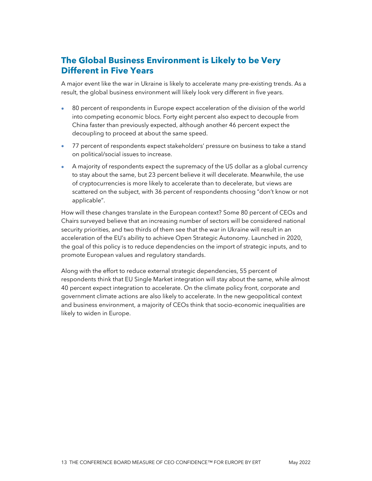# <span id="page-12-0"></span>**The Global Business Environment is Likely to be Very Different in Five Years**

A major event like the war in Ukraine is likely to accelerate many pre-existing trends. As a result, the global business environment will likely look very different in five years.

- 80 percent of respondents in Europe expect acceleration of the division of the world into competing economic blocs. Forty eight percent also expect to decouple from China faster than previously expected, although another 46 percent expect the decoupling to proceed at about the same speed.
- 77 percent of respondents expect stakeholders' pressure on business to take a stand on political/social issues to increase.
- A majority of respondents expect the supremacy of the US dollar as a global currency to stay about the same, but 23 percent believe it will decelerate. Meanwhile, the use of cryptocurrencies is more likely to accelerate than to decelerate, but views are scattered on the subject, with 36 percent of respondents choosing "don't know or not applicable".

How will these changes translate in the European context? Some 80 percent of CEOs and Chairs surveyed believe that an increasing number of sectors will be considered national security priorities, and two thirds of them see that the war in Ukraine will result in an acceleration of the EU's ability to achieve Open Strategic Autonomy. Launched in 2020, the goal of this policy is to reduce dependencies on the import of strategic inputs, and to promote European values and regulatory standards.

Along with the effort to reduce external strategic dependencies, 55 percent of respondents think that EU Single Market integration will stay about the same, while almost 40 percent expect integration to accelerate. On the climate policy front, corporate and government climate actions are also likely to accelerate. In the new geopolitical context and business environment, a majority of CEOs think that socio-economic inequalities are likely to widen in Europe.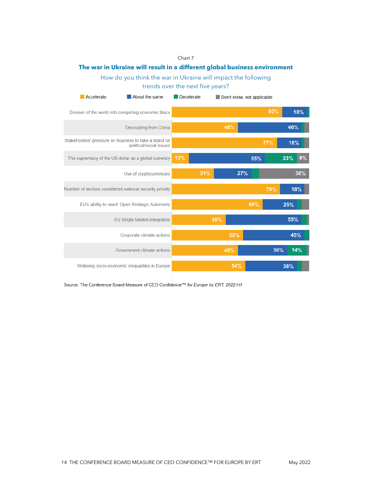#### Chart 7

#### **The war in Ukraine will result in a different global business environment**

How do you think the war in Ukraine will impact the following trends over the next five years?

| Accelerate<br>About the same                        |  |                                                                                  | Decelerate |     |     | Don't know, not applicable |     |            |            |     |
|-----------------------------------------------------|--|----------------------------------------------------------------------------------|------------|-----|-----|----------------------------|-----|------------|------------|-----|
| Division of the world into competing economic blocs |  |                                                                                  |            |     |     |                            | 80% |            | 18%        |     |
|                                                     |  | Decoupling from China                                                            |            |     |     | 48%                        |     |            | <b>46%</b> |     |
|                                                     |  | Stakeholders' pressure on business to take a stand on<br>political/social issues |            |     |     |                            |     | <b>77%</b> | 18%        |     |
|                                                     |  | The supremacy of the US dollar as a global currency                              | 13%        |     |     |                            | 55% |            | 23%        | 9%  |
|                                                     |  | Use of cryptocurrencies                                                          |            | 31% |     |                            | 27% |            |            | 36% |
|                                                     |  | Number of sectors considered national security priority                          |            |     |     |                            |     | 79%        |            | 18% |
|                                                     |  | EU's ability to reach Open Strategic Autonomy                                    |            |     |     |                            | 66% |            | 25%        |     |
|                                                     |  | EU Single Market integration                                                     |            |     | 39% |                            |     |            | 55%        |     |
|                                                     |  | Corporate climate actions                                                        |            |     |     | 52%                        |     |            |            | 45% |
|                                                     |  | Government climate actions                                                       |            |     |     | 48%                        |     | 36%        |            | 14% |
| Widening socio-economic inequalities in Europe      |  |                                                                                  |            |     | 54% |                            |     | 38%        |            |     |

Source: The Conference Board Measure of CEO Confidence™ for Europe by ERT, 2022 H1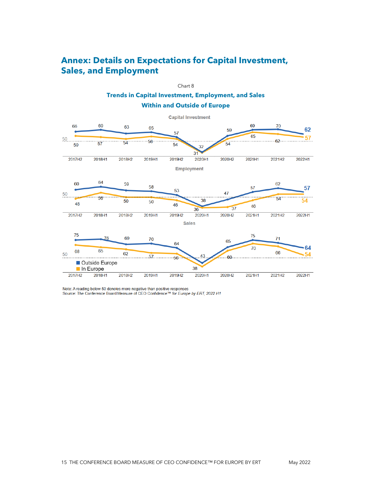## <span id="page-14-0"></span>**Annex: Details on Expectations for Capital Investment, Sales, and Employment**



Note: A reading below 50 denotes more negative than positive responses Source: The Conference Board Measure of CEO Confidence™ for Europe by ERT, 2022 H1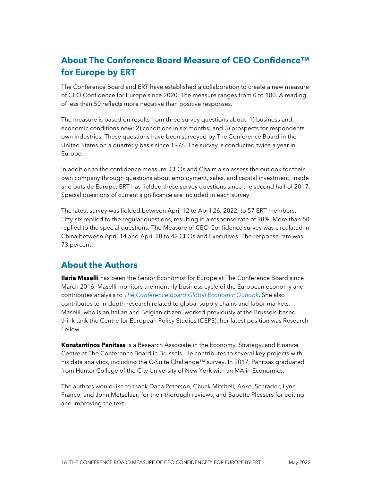# **About The Conference Board Measure of CEO Confidence™ for Europe by ERT**

The Conference Board and ERT have established a collaboration to create a new measure of CEO Confidence for Europe since 2020. The measure ranges from 0 to 100. A reading of less than 50 reflects more negative than positive responses.

The measure is based on results from three survey questions about: 1) business and economic conditions now; 2) conditions in six months; and 3) prospects for respondents' own industries. These questions have been surveyed by The Conference Board in the United States on a quarterly basis since 1976. The survey is conducted twice a year in Europe.

In addition to the confidence measure, CEOs and Chairs also assess the outlook for their own company through questions about employment, sales, and capital investment, inside and outside Europe. ERT has fielded these survey questions since the second half of 2017. Special questions of current significance are included in each survey.

The latest survey was fielded between April 12 to April 26, 2022, to 57 ERT members. Fifty-six replied to the regular questions, resulting in a response rate of 98%. More than 50 replied to the special questions. The Measure of CEO Confidence survey was circulated in China between April 14 and April 28 to 42 CEOs and Executives. The response rate was 73 percent.

#### <span id="page-15-0"></span>**About the Authors**

**Ilaria Maselli** has been the Senior Economist for Europe at The Conference Board since March 2016. Maselli monitors the monthly business cycle of the European economy and contributes analysis to *[The Conference Board Global Economic Outlook](https://www.conference-board.org/topics/global-economic-outlook/)*. She also contributes to in-depth research related to global supply chains and labor markets. Maselli, who is an Italian and Belgian citizen, worked previously at the Brussels-based think tank the Centre for European Policy Studies (CEPS); her latest position was Research Fellow.

**Konstantinos Panitsas** is a Research Associate in the Economy, Strategy, and Finance Centre at The Conference Board in Brussels. He contributes to several key projects with his data analytics, including the C-Suite Challenge™ survey. In 2017, Panitsas graduated from Hunter College of the City University of New York with an MA in Economics.

The authors would like to thank Dana Peterson, Chuck Mitchell, Anke, Schrader, Lynn Franco, and John Metselaar, for their thorough reviews, and Babette Plessers for editing and improving the text.